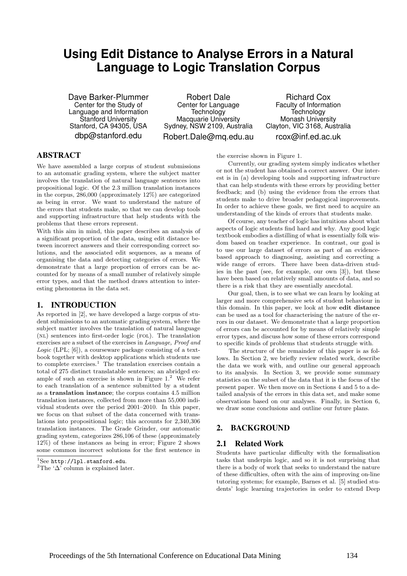# **Using Edit Distance to Analyse Errors in a Natural Language to Logic Translation Corpus**

Dave Barker-Plummer Center for the Study of Language and Information Stanford University Stanford, CA 94305, USA dbp@stanford.edu

Robert Dale Center for Language **Technology** Macquarie University Sydney, NSW 2109, Australia Robert.Dale@mq.edu.au

Richard Cox Faculty of Information **Technology** Monash University Clayton, VIC 3168, Australia rcox@inf.ed.ac.uk

# ABSTRACT

We have assembled a large corpus of student submissions to an automatic grading system, where the subject matter involves the translation of natural language sentences into propositional logic. Of the 2.3 million translation instances in the corpus, 286,000 (approximately 12%) are categorized as being in error. We want to understand the nature of the errors that students make, so that we can develop tools and supporting infrastructure that help students with the problems that these errors represent.

With this aim in mind, this paper describes an analysis of a significant proportion of the data, using edit distance between incorrect answers and their corresponding correct solutions, and the associated edit sequences, as a means of organising the data and detecting categories of errors. We demonstrate that a large proportion of errors can be accounted for by means of a small number of relatively simple error types, and that the method draws attention to interesting phenomena in the data set.

# 1. INTRODUCTION

As reported in [2], we have developed a large corpus of student submissions to an automatic grading system, where the subject matter involves the translation of natural language (nl) sentences into first-order logic (fol). The translation exercises are a subset of the exercises in Language, Proof and Logic (LPL; [6]), a courseware package consisting of a textbook together with desktop applications which students use to complete exercises.<sup>1</sup> The translation exercises contain a total of 275 distinct translatable sentences; an abridged example of such an exercise is shown in Figure  $1<sup>2</sup>$  We refer to each translation of a sentence submitted by a student as a translation instance; the corpus contains 4.5 million translation instances, collected from more than 55,000 individual students over the period 2001–2010. In this paper, we focus on that subset of the data concerned with translations into propositional logic; this accounts for 2,340,306 translation instances. The Grade Grinder, our automatic grading system, categorizes 286,106 of these (approximately 12%) of these instances as being in error; Figure 2 shows some common incorrect solutions for the first sentence in

<sup>2</sup>The ' $\Delta$ <sup>'</sup> column is explained later.

the exercise shown in Figure 1.

Currently, our grading system simply indicates whether or not the student has obtained a correct answer. Our interest is in (a) developing tools and supporting infrastructure that can help students with these errors by providing better feedback; and (b) using the evidence from the errors that students make to drive broader pedagogical improvements. In order to achieve these goals, we first need to acquire an understanding of the kinds of errors that students make.

Of course, any teacher of logic has intuitions about what aspects of logic students find hard and why. Any good logic textbook embodies a distilling of what is essentially folk wisdom based on teacher experience. In contrast, our goal is to use our large dataset of errors as part of an evidencebased approach to diagnosing, assisting and correcting a wide range of errors. There have been data-driven studies in the past (see, for example, our own [3]), but these have been based on relatively small amounts of data, and so there is a risk that they are essentially anecdotal.

Our goal, then, is to see what we can learn by looking at larger and more comprehensive sets of student behaviour in this domain. In this paper, we look at how edit distance can be used as a tool for characterising the nature of the errors in our dataset. We demonstrate that a large proportion of errors can be accounted for by means of relatively simple error types, and discuss how some of these errors correspond to specific kinds of problems that students struggle with.

The structure of the remainder of this paper is as follows. In Section 2, we briefly review related work, describe the data we work with, and outline our general approach to its analysis. In Section 3, we provide some summary statistics on the subset of the data that it is the focus of the present paper. We then move on in Sections 4 and 5 to a detailed analysis of the errors in this data set, and make some observations based on our analyses. Finally, in Section 6, we draw some conclusions and outline our future plans.

# 2. BACKGROUND

# 2.1 Related Work

Students have particular difficulty with the formalisation tasks that underpin logic, and so it is not surprising that there is a body of work that seeks to understand the nature of these difficulties, often with the aim of improving on-line tutoring systems; for example, Barnes et al. [5] studied students' logic learning trajectories in order to extend Deep

 ${}^{1}$ See http://lpl.stanford.edu.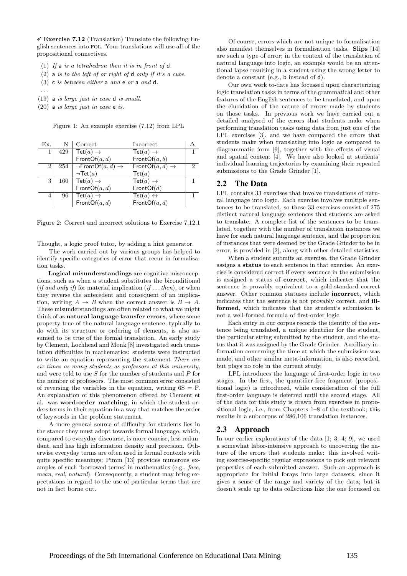$\checkmark$  Exercise 7.12 (Translation) Translate the following English sentences into fol. Your translations will use all of the propositional connectives.

- (1) If a is a tetrahedron then it is in front of  $d$ .
- $(2)$  a is to the left of or right of d only if it's a cube.
- (3) c is between either a and e or a and d.
- . . .
- (19) a is large just in case d is small.
- (20) a is large just in case e is.

Figure 1: An example exercise (7.12) from LPL

| Ex.            |     | Correct                                | Incorrect                                     |               |
|----------------|-----|----------------------------------------|-----------------------------------------------|---------------|
| 1              | 429 | Tet $(a) \rightarrow$                  | $\textsf{Tet}(a)\rightarrow$                  |               |
|                |     | FrontOf $(a, d)$                       | FrontOf(a, b)                                 |               |
| $\overline{2}$ | 254 | $\neg$ FrontOf $(a, d) \rightarrow$    | $\overline{\text{FrontOf}(a, d)} \rightarrow$ | $\mathcal{D}$ |
|                |     | $\neg$ Tet $(a)$                       | $\mathsf{Tet}(a)$                             |               |
| 3              | 160 | $\overline{\text{Tet}(a)} \rightarrow$ | $\overline{\mathsf{Tet}(a)} \to$              |               |
|                |     | FrontOf $(a, d)$                       | FrontOf(d)                                    |               |
| 4              | 96  | Tet $(a) \rightarrow$                  | Tet $(a) \leftrightarrow$                     |               |
|                |     | FrontOf $(a, d)$                       | FrontOf $(a, d)$                              |               |

Figure 2: Correct and incorrect solutions to Exercise 7.12.1

Thought, a logic proof tutor, by adding a hint generator.

The work carried out by various groups has helped to identify specific categories of error that recur in formalisation tasks.

Logical misunderstandings are cognitive misconceptions, such as when a student substitutes the biconditional (if and only if) for material implication (if  $\dots$  then), or when they reverse the antecedent and consequent of an implication, writing  $A \rightarrow B$  when the correct answer is  $B \rightarrow A$ . These misunderstandings are often related to what we might think of as natural language transfer errors, where some property true of the natural language sentence, typically to do with its structure or ordering of elements, is also assumed to be true of the formal translation. An early study by Clement, Lochhead and Monk [8] investigated such translation difficulties in mathematics: students were instructed to write an equation representing the statement There are six times as many students as professors at this university, and were told to use  $S$  for the number of students and  $P$  for the number of professors. The most common error consisted of reversing the variables in the equation, writing  $6S = P$ . An explanation of this phenomenon offered by Clement et al. was word-order matching, in which the student orders terms in their equation in a way that matches the order of keywords in the problem statement.

A more general source of difficulty for students lies in the stance they must adopt towards formal language, which, compared to everyday discourse, is more concise, less redundant, and has high information density and precision. Otherwise everyday terms are often used in formal contexts with quite specific meanings; Pimm [13] provides numerous examples of such 'borrowed terms' in mathematics (e.g., face, mean, real, natural). Consequently, a student may bring expectations in regard to the use of particular terms that are not in fact borne out.

Of course, errors which are not unique to formalisation also manifest themselves in formalisation tasks. Slips [14] are such a type of error; in the context of the translation of natural language into logic, an example would be an attentional lapse resulting in a student using the wrong letter to denote a constant (e.g., b instead of d).

Our own work to-date has focussed upon characterizing logic translation tasks in terms of the grammatical and other features of the English sentences to be translated, and upon the elucidation of the nature of errors made by students on those tasks. In previous work we have carried out a detailed analysed of the errors that students make when performing translation tasks using data from just one of the LPL exercises [3], and we have compared the errors that students make when translating into logic as compared to diagrammatic form [9], together with the effects of visual and spatial content [4]. We have also looked at students' individual learning trajectories by examining their repeated submissions to the Grade Grinder [1].

## 2.2 The Data

LPL contains 33 exercises that involve translations of natural language into logic. Each exercise involves multiple sentences to be translated, so these 33 exercises consist of 275 distinct natural language sentences that students are asked to translate. A complete list of the sentences to be translated, together with the number of translation instances we have for each natural language sentence, and the proportion of instances that were deemed by the Grade Grinder to be in error, is provided in [2], along with other detailed statistics.

When a student submits an exercise, the Grade Grinder assigns a status to each sentence in that exercise. An exercise is considered correct if every sentence in the submission is assigned a status of correct, which indicates that the sentence is provably equivalent to a gold-standard correct answer. Other common statuses include incorrect, which indicates that the sentence is not provably correct, and illformed, which indicates that the student's submission is not a well-formed formula of first-order logic.

Each entry in our corpus records the identity of the sentence being translated, a unique identifier for the student, the particular string submitted by the student, and the status that it was assigned by the Grade Grinder. Auxilliary information concerning the time at which the submission was made, and other similar meta-information, is also recorded, but plays no role in the current study.

LPL introduces the language of first-order logic in two stages. In the first, the quantifier-free fragment (propositional logic) is introduced, while consideration of the full first-order language is deferred until the second stage. All of the data for this study is drawn from exercises in propositional logic, i.e., from Chapters 1–8 of the textbook; this results in a subcorpus of 286,106 translation instances.

## 2.3 Approach

In our earlier explorations of the data [1; 3; 4; 9], we used a somewhat labor-intensive approach to uncovering the nature of the errors that students make: this involved writing exercise-specific regular expressions to pick out relevant properties of each submitted answer. Such an approach is appropriate for initial forays into large datasets, since it gives a sense of the range and variety of the data; but it doesn't scale up to data collections like the one focussed on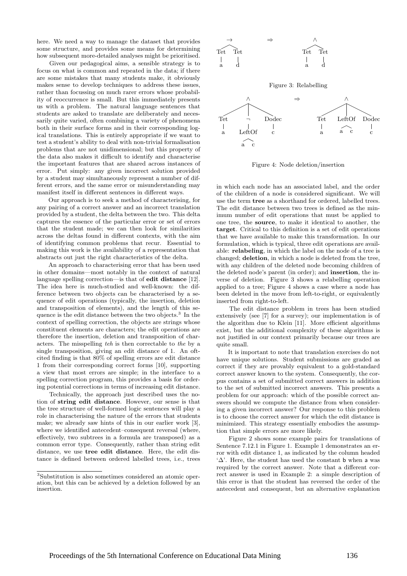here. We need a way to manage the dataset that provides some structure, and provides some means for determining how subsequent more-detailed analyses might be prioritised.

Given our pedagogical aims, a sensible strategy is to focus on what is common and repeated in the data; if there are some mistakes that many students make, it obviously makes sense to develop techniques to address these issues, rather than focussing on much rarer errors whose probability of reoccurrence is small. But this immediately presents us with a problem. The natural language sentences that students are asked to translate are deliberately and necessarily quite varied, often combining a variety of phenomena both in their surface forms and in their corresponding logical translations. This is entirely appropriate if we want to test a student's ability to deal with non-trivial formalisation problems that are not unidimensional; but this property of the data also makes it difficult to identify and characterise the important features that are shared across instances of error. Put simply: any given incorrect solution provided by a student may simultaneously represent a number of different errors, and the same error or misunderstanding may manifest itself in different sentences in different ways.

Our approach is to seek a method of characterising, for any pairing of a correct answer and an incorrect translation provided by a student, the delta between the two. This delta captures the essence of the particular error or set of errors that the student made; we can then look for similarities across the deltas found in different contexts, with the aim of identifying common problems that recur. Essential to making this work is the availability of a representation that abstracts out just the right characteristics of the delta.

An approach to characterising error that has been used in other domains—most notably in the context of natural language spelling correction—is that of edit distance [12]. The idea here is much-studied and well-known: the difference between two objects can be characterised by a sequence of edit operations (typically, the insertion, deletion and transposition of elements), and the length of this sequence is the edit distance between the two objects.<sup>3</sup> In the context of spelling correction, the objects are strings whose constituent elements are characters; the edit operations are therefore the insertion, deletion and transposition of characters. The misspelling teh is then correctable to the by a single transposition, giving an edit distance of 1. An oftcited finding is that 80% of spelling errors are edit distance 1 from their corresponding correct forms [10], supporting a view that most errors are simple; in the interface to a spelling correction program, this provides a basis for ordering potential corrections in terms of increasing edit distance.

Technically, the approach just described uses the notion of string edit distance. However, our sense is that the tree structure of well-formed logic sentences will play a role in characterising the nature of the errors that students make; we already saw hints of this in our earlier work [3], where we identified antecedent–consequent reversal (where, effectively, two subtrees in a formula are transposed) as a common error type. Consequently, rather than string edit distance, we use tree edit distance. Here, the edit distance is defined between ordered labelled trees, i.e., trees



Figure 3: Relabelling



Figure 4: Node deletion/insertion

in which each node has an associated label, and the order of the children of a node is considered significant. We will use the term tree as a shorthand for ordered, labelled trees. The edit distance between two trees is defined as the minimum number of edit operations that must be applied to one tree, the source, to make it identical to another, the target. Critical to this definition is a set of edit operations that we have available to make this transformation. In our formulation, which is typical, three edit operations are available: relabeling, in which the label on the node of a tree is changed; deletion, in which a node is deleted from the tree, with any children of the deleted node becoming children of the deleted node's parent (in order); and insertion, the inverse of deletion. Figure 3 shows a relabelling operation applied to a tree; Figure 4 shows a case where a node has been deleted in the move from left-to-right, or equivalently inserted from right-to-left.

The edit distance problem in trees has been studied extensively (see [7] for a survey); our implementation is of the algorithm due to Klein [11]. More efficient algorithms exist, but the additional complexity of these algorithms is not justified in our context primarily because our trees are quite small.

It is important to note that translation exercises do not have unique solutions. Student submissions are graded as correct if they are provably equivalent to a gold-standard correct answer known to the system. Consequently, the corpus contains a set of submitted correct answers in addition to the set of submitted incorrect answers. This presents a problem for our approach: which of the possible correct answers should we compute the distance from when considering a given incorrect answer? Our response to this problem is to choose the correct answer for which the edit distance is minimized. This strategy essentially embodies the assumption that simple errors are more likely.

Figure 2 shows some example pairs for translations of Sentence 7.12.1 in Figure 1. Example 1 demonstrates an error with edit distance 1, as indicated by the column headed  $\Delta$ . Here, the student has used the constant b when a was required by the correct answer. Note that a different correct answer is used in Example 2: a simple description of this error is that the student has reversed the order of the antecedent and consequent, but an alternative explanation

<sup>3</sup>Substitution is also sometimes considered an atomic operation, but this can be achieved by a deletion followed by an insertion.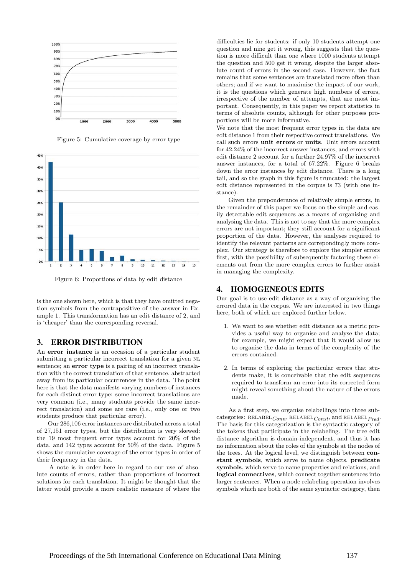

Figure 5: Cumulative coverage by error type



Figure 6: Proportions of data by edit distance

is the one shown here, which is that they have omitted negation symbols from the contrapositive of the answer in Example 1. This transformation has an edit distance of 2, and is 'cheaper' than the corresponding reversal.

### 3. ERROR DISTRIBUTION

An error instance is an occasion of a particular student submitting a particular incorrect translation for a given NL sentence; an **error type** is a pairing of an incorrect translation with the correct translation of that sentence, abstracted away from its particular occurrences in the data. The point here is that the data manifests varying numbers of instances for each distinct error type: some incorrect translations are very common (i.e., many students provide the same incorrect translation) and some are rare (i.e., only one or two students produce that particular error).

Our 286,106 error instances are distributed across a total of 27,151 error types, but the distribution is very skewed: the 19 most frequent error types account for 20% of the data, and 142 types account for 50% of the data. Figure 5 shows the cumulative coverage of the error types in order of their frequency in the data.

A note is in order here in regard to our use of absolute counts of errors, rather than proportions of incorrect solutions for each translation. It might be thought that the latter would provide a more realistic measure of where the

difficulties lie for students: if only 10 students attempt one question and nine get it wrong, this suggests that the question is more difficult than one where 1000 students attempt the question and 500 get it wrong, despite the larger absolute count of errors in the second case. However, the fact remains that some sentences are translated more often than others; and if we want to maximise the impact of our work, it is the questions which generate high numbers of errors, irrespective of the number of attempts, that are most important. Consequently, in this paper we report statistics in terms of absolute counts, although for other purposes proportions will be more informative.

We note that the most frequent error types in the data are edit distance 1 from their respective correct translations. We call such errors unit errors or units. Unit errors account for 42.24% of the incorrect answer instances, and errors with edit distance 2 account for a further 24.97% of the incorrect answer instances, for a total of 67.22%. Figure 6 breaks down the error instances by edit distance. There is a long tail, and so the graph in this figure is truncated: the largest edit distance represented in the corpus is 73 (with one instance).

Given the preponderance of relatively simple errors, in the remainder of this paper we focus on the simple and easily detectable edit sequences as a means of organising and analysing the data. This is not to say that the more complex errors are not important; they still account for a significant proportion of the data. However, the analyses required to identify the relevant patterns are correpondingly more complex. Our strategy is therefore to explore the simpler errors first, with the possibility of subsequently factoring these elements out from the more complex errors to further assist in managing the complexity.

## 4. HOMOGENEOUS EDITS

Our goal is to use edit distance as a way of organising the errored data in the corpus. We are interested in two things here, both of which are explored further below.

- 1. We want to see whether edit distance as a metric provides a useful way to organise and analyse the data; for example, we might expect that it would allow us to organise the data in terms of the complexity of the errors contained.
- 2. In terms of exploring the particular errors that students make, it is conceivable that the edit sequences required to transform an error into its corrected form might reveal something about the nature of the errors made.

As a first step, we organise relabellings into three subcategories: RELABEL $_{Conn}$ , RELABEL $_{Const}$ , and RELABEL  $_{Pred}$ . The basis for this categorization is the syntactic category of the tokens that participate in the relabeling. The tree edit distance algorithm is domain-independent, and thus it has no information about the roles of the symbols at the nodes of the trees. At the logical level, we distinguish between constant symbols, which serve to name objects, predicate symbols, which serve to name properties and relations, and logical connectives, which connect together sentences into larger sentences. When a node relabeling operation involves symbols which are both of the same syntactic category, then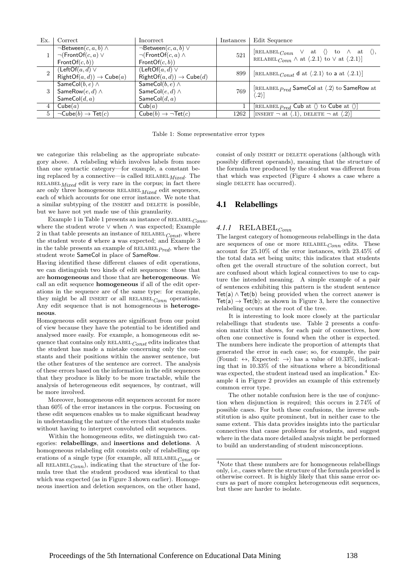| Ex.            | Correct                                                                                   | Incorrect                                                                                   | Instances | Edit Sequence                                                                                                                                                               |
|----------------|-------------------------------------------------------------------------------------------|---------------------------------------------------------------------------------------------|-----------|-----------------------------------------------------------------------------------------------------------------------------------------------------------------------------|
|                | $\neg$ Between $(c, a, b) \wedge$<br>$\neg(\mathsf{FrontOf}(c, a) \vee$<br>FrontOf(c, b)) | $\neg$ Between $(c, a, b)$ $\vee$<br>$\neg(\mathsf{FrontOf}(c, a) \wedge$<br>FrontOf(c, b)) | 521       | [RELABEL $_{Conn} \vee$ at $\langle \rangle$ to $\wedge$ at $\langle \rangle$ ,<br>RELABEL $_{Conn} \wedge$ at $\langle .2.1 \rangle$ to $\vee$ at $\langle .2.1 \rangle$ ] |
| $\mathfrak{D}$ | $(LeftOf(a, d) \vee$<br>$RightOf(a, d)) \rightarrow Cube(a)$                              | $(LeftOf(a, d) \vee$<br>$RightOf(a, d)) \rightarrow Cube(d)$                                | 899       | [RELABEL Const d at $\langle .2.1 \rangle$ to a at $\langle .2.1 \rangle$ ]                                                                                                 |
| 3              | SameCol $(b, e) \wedge$<br>SameRow $(e, d) \wedge$<br>SameCol $(d, a)$                    | SameCol $(b, e) \wedge$<br>SameCol $(e, d) \wedge$<br>SameCol $(d, a)$                      | 769       | [RELABEL $_{Pred}$ SameCol at $\langle .2 \rangle$ to SameRow at<br>$\langle .2 \rangle$                                                                                    |
| 4              | Cube(a)                                                                                   | Cub(a)                                                                                      |           | [RELABEL $_{Pred}$ Cub at $\langle \rangle$ to Cube at $\langle \rangle$ ]                                                                                                  |
| $5 -$          | $\neg \mathsf{Cube}(b) \rightarrow \mathsf{Tet}(c)$                                       | $Cube(b) \rightarrow \neg Tet(c)$                                                           | 1262      | [INSERT $\neg$ at $\langle .1 \rangle$ , DELETE $\neg$ at $\langle .2 \rangle$ ]                                                                                            |

Table 1: Some representative error types

we categorize this relabeling as the appropriate subcategory above. A relabeling which involves labels from more than one syntactic category—for example, a constant being replaced by a connective—is called RELABEL  $Mixed$ . The  $RELABEL$  $Mixed$  edit is very rare in the corpus; in fact there are only three homogeneous  $RELABEL_{Mixed}$  edit sequences, each of which accounts for one error instance. We note that a similar subtyping of the INSERT and DELETE is possible, but we have not yet made use of this granularity.

Example 1 in Table 1 presents an instance of  $RELABEL_{Conn}$ where the student wrote ∨ when ∧ was expected; Example 2 in that table presents an instance of  $RELABEL_{Const}$ , where the student wrote d where a was expected; and Example 3 in the table presents an example of  $RELABEL$ <sub> $Pred$ </sub>, where the student wrote SameCol in place of SameRow.

Having identified these different classes of edit operations, we can distinguish two kinds of edit sequences: those that are homogeneous and those that are heterogeneous. We call an edit sequence **homogeneous** if all of the edit operations in the sequence are of the same type: for example, they might be all INSERT or all RELABEL<sub>Conn</sub> operations. Any edit sequence that is not homogeneous is heterogeneous.

Homogeneous edit sequences are significant from our point of view because they have the potential to be identified and analysed more easily. For example, a homogeneous edit sequence that contains only  $RELABEL_{Const}$  edits indicates that the student has made a mistake concerning only the constants and their positions within the answer sentence, but the other features of the sentence are correct. The analysis of these errors based on the information in the edit sequences that they produce is likely to be more tractable, while the analysis of heterogeneous edit sequences, by contrast, will be more involved.

Moreover, homogeneous edit sequences account for more than 60% of the error instances in the corpus. Focussing on these edit sequences enables us to make significant headway in understanding the nature of the errors that students make without having to interpret convoluted edit sequences.

Within the homogeneous edits, we distinguish two categories: relabellings, and insertions and deletions. A homogeneous relabeling edit consists only of relabelling operations of a single type (for example, all RELABEL  $_{Const}$  or all RELABEL $_{Conn}$ ), indicating that the structure of the formula tree that the student produced was identical to that which was expected (as in Figure 3 shown earlier). Homogeneous insertion and deletion sequences, on the other hand, consist of only INSERT or DELETE operations (although with possibly different operands), meaning that the structure of the formula tree produced by the student was different from that which was expected (Figure 4 shows a case where a single DELETE has occurred).

## 4.1 Relabellings

## $4.1.1$  RELABEL<sub>Conn</sub>

The largest category of homogeneous relabellings in the data are sequences of one or more  $RELABEL_{Conn}$  edits. These account for 25.10% of the error instances, with 23.45% of the total data set being units; this indicates that students often get the overall structure of the solution correct, but are confused about which logical connectives to use to capture the intended meaning. A simple example of a pair of sentences exhibiting this pattern is the student sentence  $Tet(a) \wedge Tet(b)$  being provided when the correct answer is  $Tet(a) \rightarrow Tet(b)$ ; as shown in Figure 3, here the connective relabeling occurs at the root of the tree.

It is interesting to look more closely at the particular relabellings that students use. Table 2 presents a confusion matrix that shows, for each pair of connectives, how often one connective is found when the other is expected. The numbers here indicate the proportion of attempts that generated the error in each case; so, for example, the pair  $\text{Found: } \leftrightarrow$ , Expected:  $\rightarrow$  has a value of 10.33%, indicating that in 10.33% of the situations where a biconditional was expected, the student instead used an implication.<sup>4</sup> Example 4 in Figure 2 provides an example of this extremely common error type.

The other notable confusion here is the use of conjunction when disjunction is required; this occurs in 2.74% of possible cases. For both these confusions, the inverse substitution is also quite prominent, but in neither case to the same extent. This data provides insights into the particular connectives that cause problems for students, and suggest where in the data more detailed analysis might be performed to build an understanding of student misconceptions.

 ${}^{4}\rm{Note}$  that these numbers are for homogeneous relabellings only, i.e., cases where the structure of the formula provided is otherwise correct. It is highly likely that this same error occurs as part of more complex heterogeneous edit sequences, but these are harder to isolate.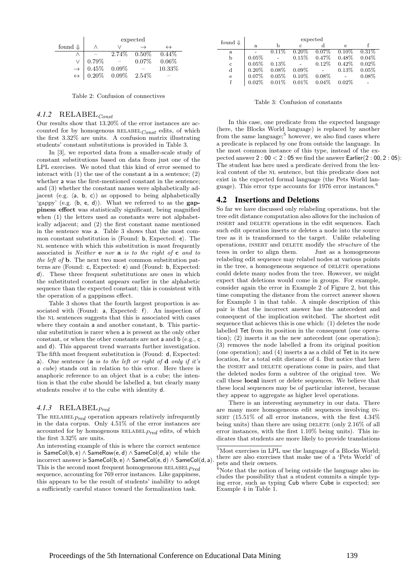|                    | expected                                                                                              |  |                 |                   |
|--------------------|-------------------------------------------------------------------------------------------------------|--|-----------------|-------------------|
| found $\Downarrow$ |                                                                                                       |  |                 | $\leftrightarrow$ |
|                    |                                                                                                       |  | $2.74\%$ 0.50\% | $0.44\%$          |
|                    | $0.79\%$                                                                                              |  | $0.07\%$        | 0.06%             |
|                    |                                                                                                       |  |                 | 10.33%            |
|                    | $\rightarrow \begin{array}{c} 0.45\% & 0.09\% \ \leftrightarrow & 0.20\% & 0.09\% \end{array}$ 2.54\% |  |                 |                   |

Table 2: Confusion of connectives

# $4.1.2$  RELABEL<sub>Const</sub>

Our results show that 13.20% of the error instances are accounted for by homogenous  $RELABEL_{Const}$  edits, of which the first 3.32% are units. A confusion matrix illustrating students' constant substitutions is provided in Table 3.

In [3], we reported data from a smaller-scale study of constant substitutions based on data from just one of the LPL exercises. We noted that this kind of error seemed to interact with  $(1)$  the use of the constant a in a sentence;  $(2)$ whether a was the first-mentioned constant in the sentence; and (3) whether the constant names were alphabetically adjacent (e.g.  $\langle a, b, c \rangle$ ) as opposed to being alphabetically 'gappy' (e.g.  $\langle b, e, d \rangle$ ). What we referred to as the **gap**piness effect was statistically significant, being magnified when (1) the letters used as constants were not alphabetically adjacent; and (2) the first constant name mentioned in the sentence was a. Table 3 shows that the most common constant substitution is  $\langle$ Found: b, Expected: e $\rangle$ . The NL sentence with which this substitution is most frequently associated is *Neither* **e** nor **a** is to the right of **c** and to the left of b. The next two most common substitution patterns are  $\langle$ Found: c, Expected: e $\rangle$  and  $\langle$ Found: b, Expected:  $d$ . These three frequent substitutions are ones in which the substituted constant appears earlier in the alphabetic sequence than the expected constant; this is consistent with the operation of a gappiness effect.

Table 3 shows that the fourth largest proportion is associated with  $\Phi$  a, Expected: f). An inspection of the NL sentences suggests that this is associated with cases where they contain a and another constant, **b**. This particular substitution is rarer when a is present as the only other constant, or when the other constants are not a and b (e.g., c and d). This apparent trend warrants further investigation. The fifth most frequent substitution is  $\ell$ Found: d, Expected: a). One sentence (a is to the left or right of d only if it's a cube) stands out in relation to this error. Here there is anaphoric reference to an object that is a cube; the intention is that the cube should be labelled a, but clearly many students resolve it to the cube with identity d.

## 4.1.3 RELABEL $_{Pred}$

The RELABEL $_{Pred}$  operation appears relatively infrequently in the data corpus. Only 4.51% of the error instances are accounted for by homogenous  $RELABEL$ <sub> $Pred$ </sub> edits, of which the first 3.32% are units.

An interesting example of this is where the correct sentence is SameCol(b, e) ∧ SameRow(e, d) ∧ SameCol(d, a) while the incorrect answer is  $SameCol(b, e) \wedge SameCol(e, d) \wedge SameCol(d, a)$ . This is the second most frequent homogeneous  $RELABEL$ <sub> $Pred$ </sub> sequence, accounting for 769 error instances. Like gappiness, this appears to be the result of students' inability to adopt a sufficiently careful stance toward the formalization task.

| found $\Downarrow$ | expected |          |          |          |            |          |
|--------------------|----------|----------|----------|----------|------------|----------|
|                    | a.       | b        | C        |          | $\epsilon$ |          |
| a                  |          | $0.11\%$ | $0.20\%$ | $0.07\%$ | $0.10\%$   | $0.31\%$ |
| b                  | 0.05%    |          | 0.15%    | 0.47%    | $0.48\%$   | 0.04%    |
| $\mathbf{c}$       | 0.05%    | 0.13%    |          | 0.12%    | $0.42\%$   | 0.02%    |
| $\rm d$            | $0.20\%$ | $0.08\%$ | $0.09\%$ |          | 0.13%      | 0.05%    |
| e                  | 0.07%    | $0.05\%$ | 0.10%    | $0.08\%$ |            | $0.08\%$ |
|                    | 0.02%    | $0.01\%$ | 0.01%    | 0.04%    | $0.02\%$   |          |

Table 3: Confusion of constants

In this case, one predicate from the expected language (here, the Blocks World language) is replaced by another from the same language;<sup>5</sup> however, we also find cases where a predicate is replaced by one from outside the language. In the most common instance of this type, instead of the expected answer 2 : 00 < 2 : 05 we find the answer Earlier(2 : 00, 2 : 05): The student has here used a predicate derived from the lexical content of the NL sentence, but this predicate does not exist in the expected formal language (the Pets World language). This error type accounts for 1976 error instances.<sup>6</sup>

#### 4.2 Insertions and Deletions

So far we have discussed only relabeling operations, but the tree edit distance computation also allows for the inclusion of insert and delete operations in the edit sequences. Each such edit operation inserts or deletes a node into the source tree as it is transformed to the target. Unlike relabeling operations, insert and delete modify the structure of the trees in order to align them. Just as a homogeneous relabeling edit sequence may relabel nodes at various points in the tree, a homogeneous sequence of DELETE operations could delete many nodes from the tree. However, we might expect that deletions would come in groups. For example, consider again the error in Example 2 of Figure 2, but this time computing the distance from the correct answer shown for Example 1 in that table. A simple description of this pair is that the incorrect answer has the antecedent and consequent of the implication switched. The shortest edit sequence that achieves this is one which: (1) deletes the node labelled Tet from its position in the consequent (one operation); (2) inserts it as the new antecedent (one operation); (3) removes the node labelled a from its original position (one operation); and (4) inserts a as a child of Tet in its new location, for a total edit distance of 4. But notice that here the INSERT and DELETE operations come in pairs, and that the deleted nodes form a subtree of the original tree. We call these local insert or delete sequences. We believe that these local sequences may be of particular interest, because they appear to aggregate as higher level operations.

There is an interesting asymmetry in our data. There are many more homogeneous edit sequences involving in-SERT  $(15.51\% \text{ of all error instances}, \text{ with the first } 4.34\%$ being units) than there are using DELETE (only  $2.16\%$  of all error instances, with the first 1.10% being units). This indicates that students are more likely to provide translations

<sup>5</sup>Most exercises in LPL use the language of a Blocks World; there are also exercises that make use of a 'Pets World' of pets and their owners.

 $6$ Note that the notion of being outside the language also includes the possibility that a student commits a simple typing error, such as typing Cub where Cube is expected; see Example 4 in Table 1.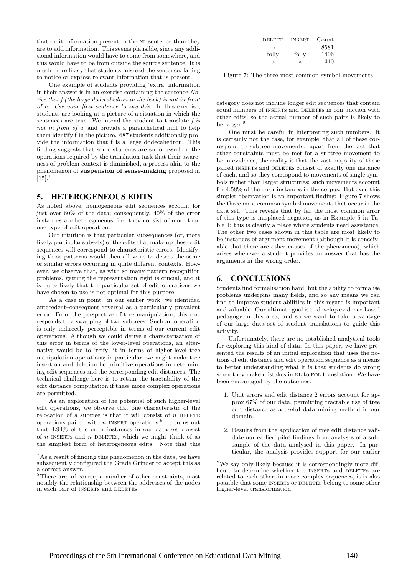that omit information present in the NL sentence than they are to add information. This seems plausible, since any additional information would have to come from somewhere, and this would have to be from outside the source sentence. It is much more likely that students misread the sentence, failing to notice or express relevant information that is present.

One example of students providing 'extra' information in their answer is in an exercise containing the sentence Notice that f (the large dodecahedron in the back) is not in front of a. Use your first sentence to say this. In this exercise, students are looking at a picture of a situation in which the sentences are true. We intend the student to translate f is not in front of a, and provide a parenthetical hint to help them identify f in the picture. 687 students additionally provide the information that f is a large dodecahedron. This finding suggests that some students are so focussed on the operations required by the translation task that their awareness of problem context is diminished, a process akin to the phenomenon of suspension of sense-making proposed in  $[15]$ .<sup>7</sup>

## 5. HETEROGENEOUS EDITS

As noted above, homogeneous edit sequences account for just over 60% of the data; consequently, 40% of the error instances are heteregeneous, i.e. they consist of more than one type of edit operation.

Our intuition is that particular subsequences (or, more likely, particular subsets) of the edits that make up these edit sequences will correspond to characteristic errors. Identifying these patterns would then allow us to detect the same or similar errors occurring in quite different contexts. However, we observe that, as with so many pattern recognition problems, getting the representation right is crucial, and it is quite likely that the particular set of edit operations we have chosen to use is not optimal for this purpose.

As a case in point: in our earlier work, we identified antecedent–consequent reversal as a particularly prevalent error. From the perspective of tree manipulation, this corresponds to a swapping of two subtrees. Such an operation is only indirectly perceptible in terms of our current edit operations. Although we could derive a characterisation of this error in terms of the lower-level operations, an alternative would be to 'reify' it in terms of higher-level tree manipulation operations; in particular, we might make tree insertion and deletion be primitive operations in determining edit sequences and the corresponding edit distances. The technical challenge here is to retain the tractability of the edit distance computation if these more complex operations are permitted.

As an exploration of the potential of such higher-level edit operations, we observe that one characteristic of the relocation of a subtree is that it will consist of  $n$  DELETE operations paired with n INSERT operations.<sup>8</sup> It turns out that 4.94% of the error instances in our data set consist of  $n$  INSERTS and  $n$  DELETES, which we might think of as the simplest form of heterogeneous edits. Note that this

| <b>DELETE</b> | <b>INSERT</b> | Count |
|---------------|---------------|-------|
| ⇁             | ⊣             | 8581  |
| folly         | folly         | 1406  |
| a.            | a.            | 410   |

Figure 7: The three most common symbol movements

category does not include longer edit sequences that contain equal numbers of INSERTS and DELETES in conjunction with other edits, so the actual number of such pairs is likely to be larger.<sup>9</sup>

One must be careful in interpreting such numbers. It is certainly not the case, for example, that all of these correspond to subtree movements: apart from the fact that other constraints must be met for a subtree movement to be in evidence, the reality is that the vast majority of these paired INSERTs and DELETES consist of exactly one instance of each, and so they correspond to movements of single symbols rather than larger structures: such movements account for 4.58% of the error instances in the corpus. But even this simpler observation is an important finding: Figure 7 shows the three most common symbol movements that occur in the data set. This reveals that by far the most common error of this type is misplaced negation, as in Example 5 in Table 1; this is clearly a place where students need assistance. The other two cases shown in this table are most likely to be instances of argument movement (although it is conceivable that there are other causes of the phenomena), which arises whenever a student provides an answer that has the arguments in the wrong order.

#### 6. CONCLUSIONS

Students find formalisation hard; but the ability to formalise problems underpins many fields, and so any means we can find to improve student abilities in this regard is important and valuable. Our ultimate goal is to develop evidence-based pedagogy in this area, and so we want to take advantage of our large data set of student translations to guide this activity.

Unfortunately, there are no established analytical tools for exploring this kind of data. In this paper, we have presented the results of an initial exploration that uses the notions of edit distance and edit operation sequence as a means to better understanding what it is that students do wrong when they make mistakes in NL to FOL translation. We have been encouraged by the outcomes:

- 1. Unit errors and edit distance 2 errors account for approx 67% of our data, permitting tractable use of tree edit distance as a useful data mining method in our domain.
- 2. Results from the application of tree edit distance validate our earlier, pilot findings from analyses of a subsample of the data analysed in this paper. In particular, the analysis provides support for our earlier

 $7\,\mathrm{As}$  a result of finding this phenomenon in the data, we have subsequently configured the Grade Grinder to accept this as a correct answer.

<sup>8</sup>There are, of course, a number of other constraints, most notably the relationship between the addresses of the nodes in each pair of INSERTs and DELETES.

 $9$ We say only likely because it is correspondingly more difficult to determine whether the INSERTs and DELETES are related to each other; in more complex sequences, it is also possible that some INSERTS or DELETES belong to some other higher-level transformation.